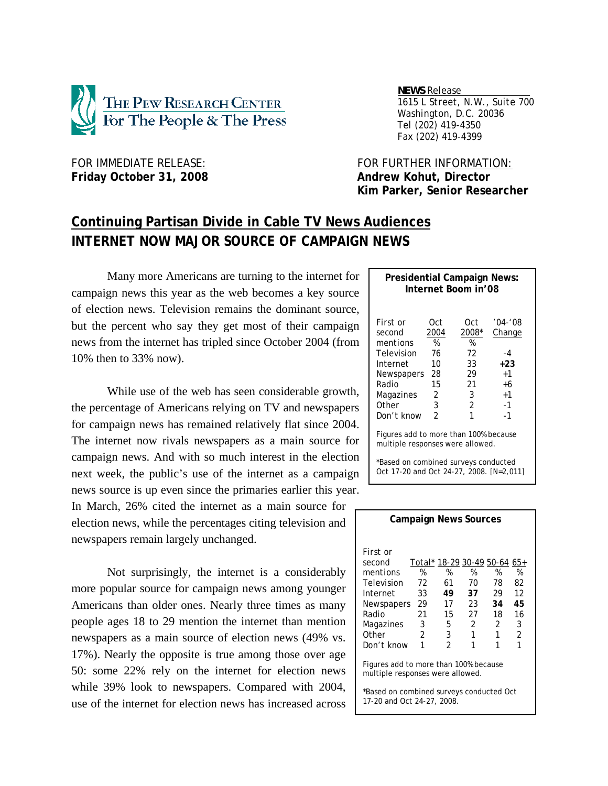

 *NEWS Release . 1615 L Street, N.W., Suite 700 Washington, D.C. 20036 Tel (202) 419-4350 Fax (202) 419-4399*

# Friday October 31, 2008 **Andrew Kohut, Director**

FOR IMMEDIATE RELEASE: FOR FURTHER INFORMATION:  **Kim Parker, Senior Researcher** 

# **Continuing Partisan Divide in Cable TV News Audiences INTERNET NOW MAJOR SOURCE OF CAMPAIGN NEWS**

Many more Americans are turning to the internet for campaign news this year as the web becomes a key source of election news. Television remains the dominant source, but the percent who say they get most of their campaign news from the internet has tripled since October 2004 (from 10% then to 33% now).

While use of the web has seen considerable growth, the percentage of Americans relying on TV and newspapers for campaign news has remained relatively flat since 2004. The internet now rivals newspapers as a main source for campaign news. And with so much interest in the election next week, the public's use of the internet as a campaign news source is up even since the primaries earlier this year.

In March, 26% cited the internet as a main source for election news, while the percentages citing television and newspapers remain largely unchanged.

Not surprisingly, the internet is a considerably more popular source for campaign news among younger Americans than older ones. Nearly three times as many people ages 18 to 29 mention the internet than mention newspapers as a main source of election news (49% vs. 17%). Nearly the opposite is true among those over age 50: some 22% rely on the internet for election news while 39% look to newspapers. Compared with 2004, use of the internet for election news has increased across

| Internet Boom in'08                                                       |                  |                   |                       |  |  |  |  |
|---------------------------------------------------------------------------|------------------|-------------------|-----------------------|--|--|--|--|
|                                                                           |                  |                   |                       |  |  |  |  |
| First or<br>second<br>mentions                                            | Oct<br>2004<br>% | Oct<br>2008*<br>% | $'04 - '08$<br>Change |  |  |  |  |
| Television<br>Internet                                                    | 76<br>10         | 72<br>33          | $-4$<br>$+23$         |  |  |  |  |
| Newspapers                                                                | 28               | 29                | $+1$                  |  |  |  |  |
| Radio                                                                     | 15               | 21                | +6                    |  |  |  |  |
| Magazines                                                                 | 2                | 3                 | $+1$                  |  |  |  |  |
| Other                                                                     | 3                | 2                 | $-1$                  |  |  |  |  |
| Don't know                                                                | $\mathfrak{p}$   | 1                 | $-1$                  |  |  |  |  |
| Figures add to more than 100% because<br>multiple responses were allowed. |                  |                   |                       |  |  |  |  |

**Presidential Campaign News:** 

\*Based on combined surveys conducted Oct 17-20 and Oct 24-27, 2008. [N=2,011]

| <b>Campaign News Sources</b>                                              |    |                              |                |    |    |  |  |
|---------------------------------------------------------------------------|----|------------------------------|----------------|----|----|--|--|
| First or                                                                  |    |                              |                |    |    |  |  |
| second                                                                    |    | Total* 18-29 30-49 50-64 65+ |                |    |    |  |  |
| mentions                                                                  | %  | %                            | %              | %  | %  |  |  |
| Television                                                                | 72 | 61                           | 70             | 78 | 82 |  |  |
| Internet                                                                  | 33 | 49                           | 37             | 29 | 12 |  |  |
| Newspapers                                                                | 29 | 17                           | 23             | 34 | 45 |  |  |
| Radio                                                                     | 21 | 15                           | 27             | 18 | 16 |  |  |
| Magazines                                                                 | 3  | 5                            | $\mathfrak{p}$ | 2  | 3  |  |  |
| Other                                                                     | 2  | 3                            | 1              | 1  | 2  |  |  |
| Don't know                                                                | 1  | 2                            | 1              |    | 1  |  |  |
| Figures add to more than 100% because<br>multiple responses were allowed. |    |                              |                |    |    |  |  |
| *Based on combined surveys conducted Oct<br>17-20 and Oct 24-27, 2008.    |    |                              |                |    |    |  |  |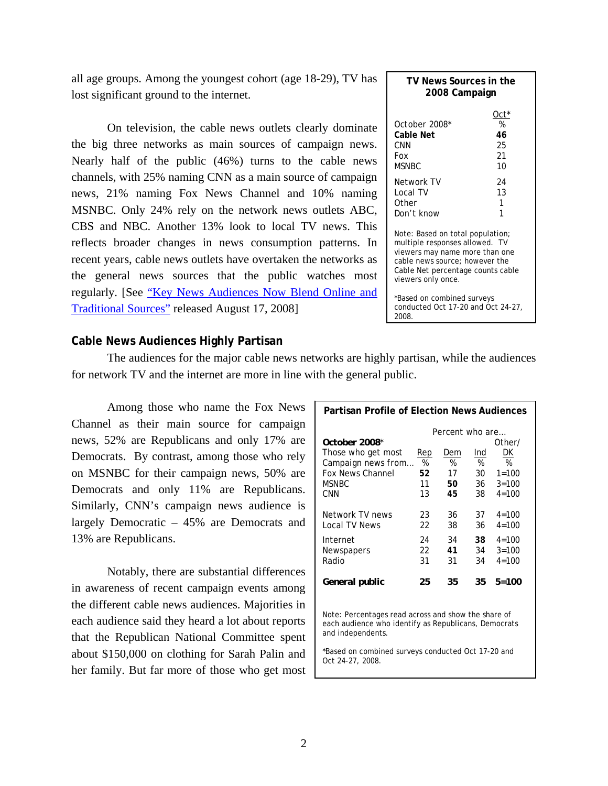all age groups. Among the youngest cohort (age 18-29), TV has lost significant ground to the internet.

On television, the cable news outlets clearly dominate the big three networks as main sources of campaign news. Nearly half of the public (46%) turns to the cable news channels, with 25% naming CNN as a main source of campaign news, 21% naming Fox News Channel and 10% naming MSNBC. Only 24% rely on the network news outlets ABC, CBS and NBC. Another 13% look to local TV news. This reflects broader changes in news consumption patterns. In recent years, cable news outlets have overtaken the networks as the general news sources that the public watches most regularly. [See "Key News Audiences Now Blend Online and Traditional Sources" released August 17, 2008]

| TV News Sources in the<br>2008 Campaign                                                                                                                                                           |                                   |  |  |  |  |
|---------------------------------------------------------------------------------------------------------------------------------------------------------------------------------------------------|-----------------------------------|--|--|--|--|
| <i>October 2008*</i><br>Cable Net<br>CNN<br>Fox<br>MSNBC                                                                                                                                          | Oct*<br>%<br>46<br>25<br>21<br>10 |  |  |  |  |
| Network TV<br>Local TV<br>Other<br>Don't know                                                                                                                                                     | 24<br>13<br>1<br>1                |  |  |  |  |
| Note: Based on total population;<br>multiple responses allowed. TV<br>viewers may name more than one<br>cable news source; however the<br>Cable Net percentage counts cable<br>viewers only once. |                                   |  |  |  |  |

\*Based on combined surveys conducted Oct 17-20 and Oct 24-27, 2008.

# **Cable News Audiences Highly Partisan**

The audiences for the major cable news networks are highly partisan, while the audiences for network TV and the internet are more in line with the general public.

Among those who name the Fox News Channel as their main source for campaign news, 52% are Republicans and only 17% are Democrats. By contrast, among those who rely on MSNBC for their campaign news, 50% are Democrats and only 11% are Republicans. Similarly, CNN's campaign news audience is largely Democratic – 45% are Democrats and 13% are Republicans.

Notably, there are substantial differences in awareness of recent campaign events among the different cable news audiences. Majorities in each audience said they heard a lot about reports that the Republican National Committee spent about \$150,000 on clothing for Sarah Palin and her family. But far more of those who get most

| <b>Partisan Profile of Election News Audiences</b> |                 |     |     |              |  |  |  |
|----------------------------------------------------|-----------------|-----|-----|--------------|--|--|--|
|                                                    | Percent who are |     |     |              |  |  |  |
| <i>October 2008*</i>                               |                 |     |     | Other/       |  |  |  |
| Those who get most                                 | Rep             | Dem | Ind | DK           |  |  |  |
| Campaign news from                                 | %               | %   | %   | %            |  |  |  |
| <b>Fox News Channel</b>                            | 52              | 17  | 30  | $1 = 100$    |  |  |  |
| <b>MSNBC</b>                                       | 11              | 50  | 36  | $3 = 100$    |  |  |  |
| CNN                                                | 13              | 45  | 38  | $4 = 100$    |  |  |  |
|                                                    |                 |     |     |              |  |  |  |
| Network TV news                                    | 23              | 36  | 37  | $4 = 100$    |  |  |  |
| Local TV News                                      | 22              | 38  | 36  | $4 = 100$    |  |  |  |
| Internet                                           | 24              | 34  | 38  | $4 = 100$    |  |  |  |
| Newspapers                                         | 22              | 41  | 34  | $3 = 100$    |  |  |  |
| Radio                                              | 31              | 31  | 34  | $4 = 100$    |  |  |  |
|                                                    |                 |     |     |              |  |  |  |
| General public                                     | 25              | 35  | 35  | <i>5=100</i> |  |  |  |
|                                                    |                 |     |     |              |  |  |  |
|                                                    |                 |     |     |              |  |  |  |

Note: Percentages read *across* and show the share of each audience who identify as Republicans, Democrats and independents.

\*Based on combined surveys conducted Oct 17-20 and Oct 24-27, 2008.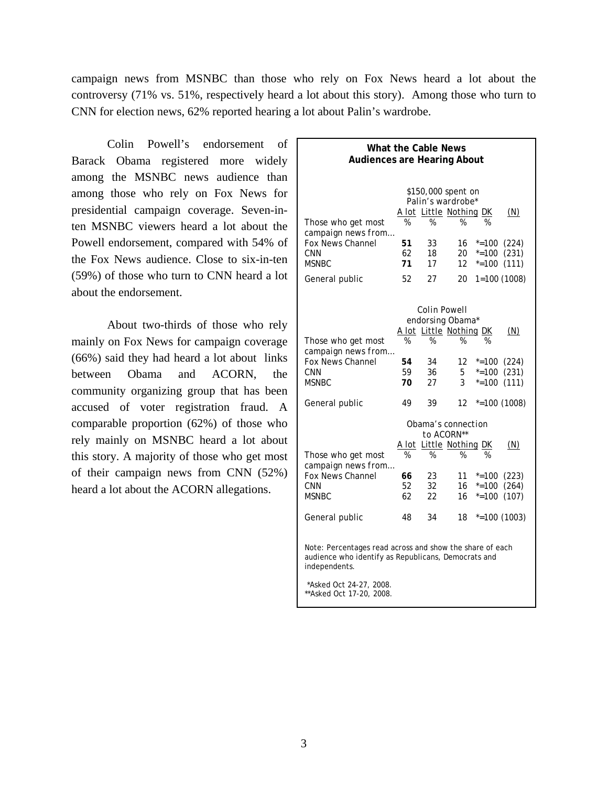campaign news from MSNBC than those who rely on Fox News heard a lot about the controversy (71% vs. 51%, respectively heard a lot about this story). Among those who turn to CNN for election news, 62% reported hearing a lot about Palin's wardrobe.

Colin Powell's endorsement of Barack Obama registered more widely among the MSNBC news audience than among those who rely on Fox News for presidential campaign coverage. Seven-inten MSNBC viewers heard a lot about the Powell endorsement, compared with 54% of the Fox News audience. Close to six-in-ten (59%) of those who turn to CNN heard a lot about the endorsement.

About two-thirds of those who rely mainly on Fox News for campaign coverage (66%) said they had heard a lot about links between Obama and ACORN, the community organizing group that has been accused of voter registration fraud. A comparable proportion (62%) of those who rely mainly on MSNBC heard a lot about this story. A majority of those who get most of their campaign news from CNN (52%) heard a lot about the ACORN allegations.

| <b>What the Cable News</b><br><b>Audiences are Hearing About</b>                                                                                                                         |    |                                |    |                    |  |  |  |  |
|------------------------------------------------------------------------------------------------------------------------------------------------------------------------------------------|----|--------------------------------|----|--------------------|--|--|--|--|
|                                                                                                                                                                                          |    | <i>\$150,000 spent on</i>      |    |                    |  |  |  |  |
|                                                                                                                                                                                          |    | Palin's wardrobe*              |    |                    |  |  |  |  |
|                                                                                                                                                                                          |    | <u>A lot Little Nothing DK</u> |    | (N)                |  |  |  |  |
| Those who get most                                                                                                                                                                       | %  | %                              | %  | %                  |  |  |  |  |
| campaign news from                                                                                                                                                                       |    |                                |    |                    |  |  |  |  |
| Fox News Channel                                                                                                                                                                         | 51 | 33                             | 16 | $* = 100$<br>(224) |  |  |  |  |
| CNN                                                                                                                                                                                      | 62 | 18                             | 20 | $* = 100$<br>(231) |  |  |  |  |
| <b>MSNBC</b>                                                                                                                                                                             | 71 | 17                             | 12 | $* = 100$<br>(111) |  |  |  |  |
| General public                                                                                                                                                                           | 52 | 27                             | 20 | $1=100(1008)$      |  |  |  |  |
|                                                                                                                                                                                          |    |                                |    |                    |  |  |  |  |
|                                                                                                                                                                                          |    | Colin Powell                   |    |                    |  |  |  |  |
|                                                                                                                                                                                          |    | endorsing Obama*               |    |                    |  |  |  |  |
|                                                                                                                                                                                          |    | A lot Little Nothing DK        |    | (N)                |  |  |  |  |
| Those who get most                                                                                                                                                                       | %  | %                              | %  | %                  |  |  |  |  |
| campaign news from                                                                                                                                                                       |    |                                |    |                    |  |  |  |  |
| Fox News Channel                                                                                                                                                                         | 54 | 34                             | 12 | $* = 100$<br>(224) |  |  |  |  |
| <b>CNN</b>                                                                                                                                                                               | 59 | 36                             | 5. | $* = 100$<br>(231) |  |  |  |  |
| MSNBC                                                                                                                                                                                    | 70 | 27                             | 3  | $* = 100$<br>(111) |  |  |  |  |
| General public                                                                                                                                                                           | 49 | 39                             | 12 | $*=100(1008)$      |  |  |  |  |
|                                                                                                                                                                                          |    | Obama's connection             |    |                    |  |  |  |  |
|                                                                                                                                                                                          |    | to ACORN**                     |    |                    |  |  |  |  |
|                                                                                                                                                                                          |    | <u>A lot Little Nothing DK</u> |    | (M)                |  |  |  |  |
| Those who get most<br>campaign news from                                                                                                                                                 | %  | %                              | %  | %                  |  |  |  |  |
| <b>Fox News Channel</b>                                                                                                                                                                  | 66 | 23                             | 11 | $* = 100$<br>(223) |  |  |  |  |
| <b>CNN</b>                                                                                                                                                                               | 52 | 32                             | 16 | $* = 100$<br>(264) |  |  |  |  |
| <b>MSNBC</b>                                                                                                                                                                             | 62 | 22                             | 16 | $* = 100$<br>(107) |  |  |  |  |
|                                                                                                                                                                                          |    |                                |    |                    |  |  |  |  |
| General public                                                                                                                                                                           | 48 | 34                             | 18 | $*=100(1003)$      |  |  |  |  |
| Note: Percentages read across and show the share of each<br>audience who identify as Republicans, Democrats and<br>independents.<br>*Asked Oct 24-27, 2008.<br>** Asked Oct 17-20, 2008. |    |                                |    |                    |  |  |  |  |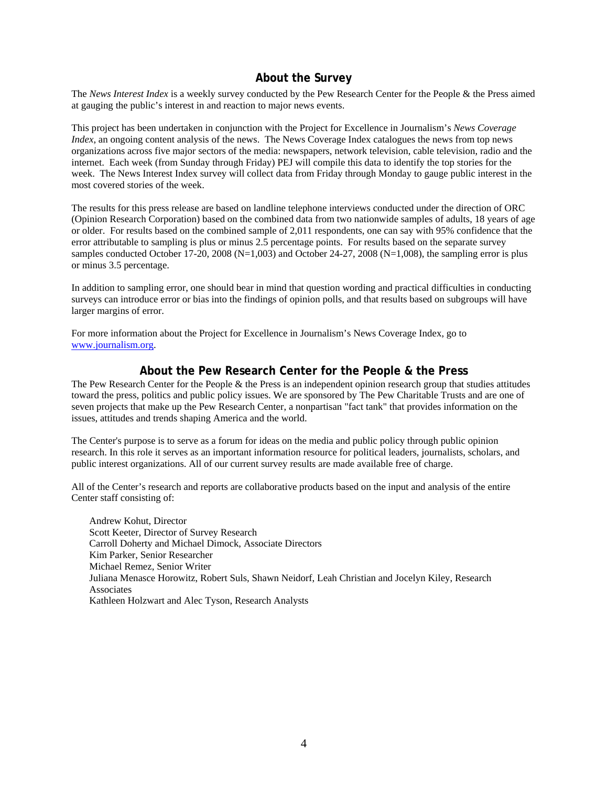# **About the Survey**

The *News Interest Index* is a weekly survey conducted by the Pew Research Center for the People & the Press aimed at gauging the public's interest in and reaction to major news events.

This project has been undertaken in conjunction with the Project for Excellence in Journalism's *News Coverage Index*, an ongoing content analysis of the news. The News Coverage Index catalogues the news from top news organizations across five major sectors of the media: newspapers, network television, cable television, radio and the internet. Each week (from Sunday through Friday) PEJ will compile this data to identify the top stories for the week. The News Interest Index survey will collect data from Friday through Monday to gauge public interest in the most covered stories of the week.

The results for this press release are based on landline telephone interviews conducted under the direction of ORC (Opinion Research Corporation) based on the combined data from two nationwide samples of adults, 18 years of age or older. For results based on the combined sample of 2,011 respondents, one can say with 95% confidence that the error attributable to sampling is plus or minus 2.5 percentage points. For results based on the separate survey samples conducted October 17-20, 2008 (N=1,003) and October 24-27, 2008 (N=1,008), the sampling error is plus or minus 3.5 percentage.

In addition to sampling error, one should bear in mind that question wording and practical difficulties in conducting surveys can introduce error or bias into the findings of opinion polls, and that results based on subgroups will have larger margins of error.

For more information about the Project for Excellence in Journalism's News Coverage Index, go to www.journalism.org.

# **About the Pew Research Center for the People & the Press**

The Pew Research Center for the People & the Press is an independent opinion research group that studies attitudes toward the press, politics and public policy issues. We are sponsored by The Pew Charitable Trusts and are one of seven projects that make up the Pew Research Center, a nonpartisan "fact tank" that provides information on the issues, attitudes and trends shaping America and the world.

The Center's purpose is to serve as a forum for ideas on the media and public policy through public opinion research. In this role it serves as an important information resource for political leaders, journalists, scholars, and public interest organizations. All of our current survey results are made available free of charge.

All of the Center's research and reports are collaborative products based on the input and analysis of the entire Center staff consisting of:

 Andrew Kohut, Director Scott Keeter, Director of Survey Research Carroll Doherty and Michael Dimock, Associate Directors Kim Parker, Senior Researcher Michael Remez, Senior Writer Juliana Menasce Horowitz, Robert Suls, Shawn Neidorf, Leah Christian and Jocelyn Kiley, Research Associates Kathleen Holzwart and Alec Tyson, Research Analysts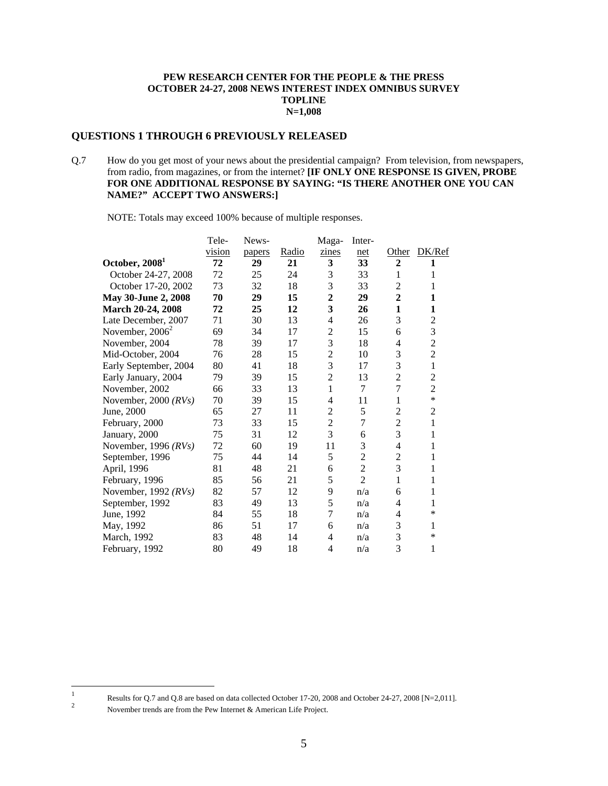#### **PEW RESEARCH CENTER FOR THE PEOPLE & THE PRESS OCTOBER 24-27, 2008 NEWS INTEREST INDEX OMNIBUS SURVEY TOPLINE N=1,008**

#### **QUESTIONS 1 THROUGH 6 PREVIOUSLY RELEASED**

Q.7 How do you get most of your news about the presidential campaign? From television, from newspapers, from radio, from magazines, or from the internet? **[IF ONLY ONE RESPONSE IS GIVEN, PROBE FOR ONE ADDITIONAL RESPONSE BY SAYING: "IS THERE ANOTHER ONE YOU CAN NAME?" ACCEPT TWO ANSWERS:]** 

NOTE: Totals may exceed 100% because of multiple responses.

|                            | Tele-  | News-  |       | Maga-          | Inter-         |                  |                |
|----------------------------|--------|--------|-------|----------------|----------------|------------------|----------------|
|                            | vision | papers | Radio | zines          | net            | Other            | DK/Ref         |
| October, 2008 <sup>1</sup> | 72     | 29     | 21    | 3              | 33             | $\boldsymbol{2}$ | 1              |
| October 24-27, 2008        | 72     | 25     | 24    | 3              | 33             | $\mathbf{1}$     | 1              |
| October 17-20, 2002        | 73     | 32     | 18    | 3              | 33             | $\overline{c}$   | 1              |
| May 30-June 2, 2008        | 70     | 29     | 15    | $\overline{2}$ | 29             | $\overline{2}$   | 1              |
| March 20-24, 2008          | 72     | 25     | 12    | 3              | 26             | $\mathbf{1}$     | 1              |
| Late December, 2007        | 71     | 30     | 13    | 4              | 26             | 3                | $\overline{2}$ |
| November, $2006^2$         | 69     | 34     | 17    | $\overline{2}$ | 15             | 6                | 3              |
| November, 2004             | 78     | 39     | 17    | 3              | 18             | 4                | $\overline{2}$ |
| Mid-October, 2004          | 76     | 28     | 15    | $\overline{c}$ | 10             | 3                | $\overline{2}$ |
| Early September, 2004      | 80     | 41     | 18    | 3              | 17             | 3                | $\mathbf{1}$   |
| Early January, 2004        | 79     | 39     | 15    | $\overline{2}$ | 13             | $\overline{2}$   | $\overline{c}$ |
| November, 2002             | 66     | 33     | 13    | $\mathbf{1}$   | 7              | $\overline{7}$   | $\overline{2}$ |
| November, 2000 $(RVs)$     | 70     | 39     | 15    | 4              | 11             | 1                | $\ast$         |
| June, 2000                 | 65     | 27     | 11    | 2              | 5              | $\overline{c}$   | $\overline{2}$ |
| February, 2000             | 73     | 33     | 15    | $\overline{c}$ | 7              | $\overline{c}$   | 1              |
| January, 2000              | 75     | 31     | 12    | 3              | 6              | 3                | 1              |
| November, 1996 $(RVs)$     | 72     | 60     | 19    | 11             | 3              | 4                | 1              |
| September, 1996            | 75     | 44     | 14    | 5              | $\overline{c}$ | $\overline{c}$   | 1              |
| April, 1996                | 81     | 48     | 21    | 6              | $\overline{2}$ | 3                | 1              |
| February, 1996             | 85     | 56     | 21    | 5              | $\overline{2}$ | 1                | 1              |
| November, 1992 $(RVs)$     | 82     | 57     | 12    | 9              | n/a            | 6                | 1              |
| September, 1992            | 83     | 49     | 13    | 5              | n/a            | 4                | 1              |
| June, 1992                 | 84     | 55     | 18    | 7              | n/a            | 4                | $\ast$         |
| May, 1992                  | 86     | 51     | 17    | 6              | n/a            | 3                | 1              |
| March, 1992                | 83     | 48     | 14    | 4              | n/a            | 3                | $\ast$         |
| February, 1992             | 80     | 49     | 18    | 4              | n/a            | 3                | 1              |

 $\frac{1}{1}$ Results for Q.7 and Q.8 are based on data collected October 17-20, 2008 and October 24-27, 2008 [N=2,011].

November trends are from the Pew Internet & American Life Project.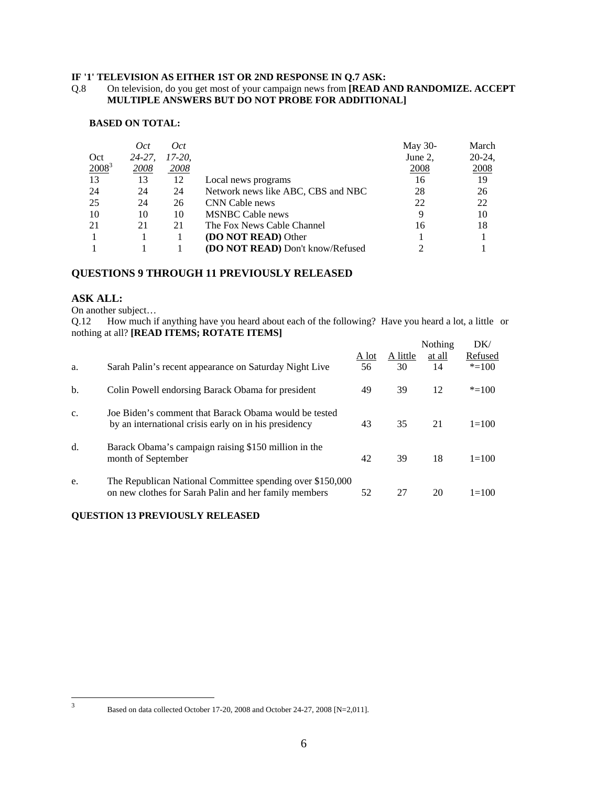#### **IF '1' TELEVISION AS EITHER 1ST OR 2ND RESPONSE IN Q.7 ASK:**

#### Q.8 On television, do you get most of your campaign news from **[READ AND RANDOMIZE. ACCEPT MULTIPLE ANSWERS BUT DO NOT PROBE FOR ADDITIONAL]**

#### **BASED ON TOTAL:**

|          | Oct        | Oct      |                                    | May 30-     | March     |
|----------|------------|----------|------------------------------------|-------------|-----------|
| Oct      | $24 - 27.$ | $17-20.$ |                                    | June 2,     | $20-24$ , |
| $2008^3$ | 2008       | 2008     |                                    | <b>2008</b> | 2008      |
| 13       | 13         | 12       | Local news programs                | 16          | 19        |
| 24       | 24         | 24       | Network news like ABC, CBS and NBC | 28          | 26        |
| 25       | 24         | 26       | CNN Cable news                     | 22          | 22        |
| 10       | 10         | 10       | <b>MSNBC</b> Cable news            |             | 10        |
| 21       | 21         | 21       | The Fox News Cable Channel         | 16          | 18        |
|          |            |          | <b>(DO NOT READ)</b> Other         |             |           |
|          |            |          | (DO NOT READ) Don't know/Refused   |             |           |

# **QUESTIONS 9 THROUGH 11 PREVIOUSLY RELEASED**

#### **ASK ALL:**

On another subject…

Q.12 How much if anything have you heard about each of the following? Have you heard a lot, a little or nothing at all? **[READ ITEMS; ROTATE ITEMS]** 

| a. | Sarah Palin's recent appearance on Saturday Night Live                                                             | A lot<br>56 | A little<br>30 | Nothing<br>at all<br>14 | DK/<br>Refused<br>$* = 100$ |
|----|--------------------------------------------------------------------------------------------------------------------|-------------|----------------|-------------------------|-----------------------------|
| b. | Colin Powell endorsing Barack Obama for president                                                                  | 49          | 39             | 12                      | $* = 100$                   |
| c. | Joe Biden's comment that Barack Obama would be tested<br>by an international crisis early on in his presidency     | 43          | 35             | 21                      | $1 = 100$                   |
| d. | Barack Obama's campaign raising \$150 million in the<br>month of September                                         | 42          | 39             | 18                      | $1=100$                     |
| e. | The Republican National Committee spending over \$150,000<br>on new clothes for Sarah Palin and her family members | 52          | 27             | 20                      | $1 = 100$                   |

### **QUESTION 13 PREVIOUSLY RELEASED**

 $\frac{1}{3}$ 

Based on data collected October 17-20, 2008 and October 24-27, 2008 [N=2,011].